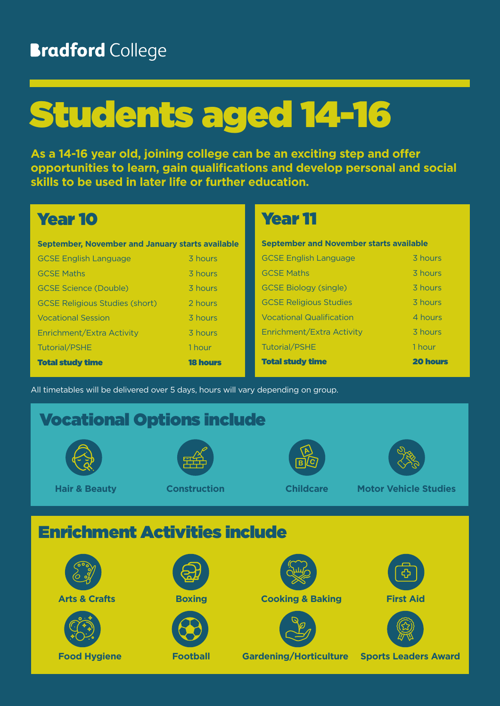## **Bradford College**

# Students aged 14-16

**As a 14-16 year old, joining college can be an exciting step and offer opportunities to learn, gain qualifications and develop personal and social skills to be used in later life or further education.**

### Year 10

| September, November and January starts available |                 |
|--------------------------------------------------|-----------------|
| <b>GCSE English Language</b>                     | 3 hours         |
| <b>GCSE Maths</b>                                | 3 hours         |
| <b>GCSE Science (Double)</b>                     | 3 hours         |
| <b>GCSE Religious Studies (short)</b>            | 2 hours         |
| <b>Vocational Session</b>                        | 3 hours         |
| Enrichment/Extra Activity                        | 3 hours         |
| <b>Tutorial/PSHE</b>                             | 1 hour          |
| <b>Total study time</b>                          | <b>18 hours</b> |

### Year 11

| <b>September and November starts available</b> |                 |  |
|------------------------------------------------|-----------------|--|
| <b>GCSE English Language</b>                   | 3 hours         |  |
| <b>GCSE Maths</b>                              | 3 hours         |  |
| <b>GCSE Biology (single)</b>                   | 3 hours         |  |
| <b>GCSE Religious Studies</b>                  | 3 hours         |  |
| <b>Vocational Qualification</b>                | 4 hours         |  |
| Enrichment/Extra Activity                      | 3 hours         |  |
| <b>Tutorial/PSHE</b>                           | 1 hour          |  |
| <b>Total study time</b>                        | <b>20 hours</b> |  |

All timetables will be delivered over 5 days, hours will vary depending on group.

# Vocational Options include **Hair & Beauty Construction Childcare Motor Vehicle Studies** Enrichment Activities include



**Arts & Crafts Cooking Cooking & Baking First Aid** 







**Food Hygiene Football Gardening/Horticulture Sports Leaders Award**